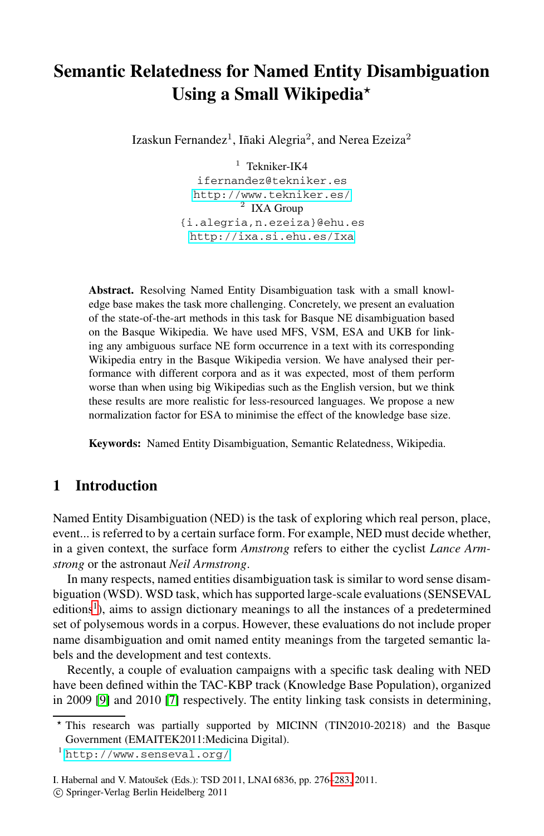# **Semantic Relatedness for Named Entity Disambiguation Using a Small Wikipedia***-*

Izaskun Fernandez<sup>1</sup>, Iñaki Alegria<sup>2</sup>, and Nerea Ezeiza<sup>2</sup>

 $1$  Tekniker-IK4 ifernandez@tekniker.es <http://www.tekniker.es/> <sup>2</sup> IXA Group {i.alegria,n.ezeiza}@ehu.es <http://ixa.si.ehu.es/Ixa>

**Abstract.** Resolving Named Entity Disambiguation task with a small knowledge base makes the task more challenging. Concretely, we present an evaluation of the state-of-the-art methods in this task for Basque NE disambiguation based on the Basque Wikipedia. We have used MFS, VSM, ESA and UKB for linking any ambiguous surface NE form occurrence in a text with its corresponding Wikipedia entry in the Basque Wikipedia version. We have analysed their performance with different corpora and as it was expected, most of them perform worse than when using big Wikipedias such as the English version, but we think these results are more realistic for less-resourced languages. We propose a new normalization factor for ESA to minimise the effect of the knowledge base size.

**Keywords:** Named Entity Disambiguation, Semantic Relatedness, Wikipedia.

### **1 Introduction**

Named Entity Disambiguation (NED) is the task of exploring which real person, place, event... is referred to by a certain surface form. For example, NED must decide whether, in a given context, the surface form *Amstrong* refers to either the cyclist *Lance Armstrong* or the astronaut *Neil Armstrong*.

In many respects, named entities disambiguation task is similar to word sense disambiguation (WSD). WSD task, which has supported large-scale evaluations (SENSEVAL editions<sup>1</sup>), aims to assign dictionary meanings to all the instances of a predetermined set of polysemous words in a corpus. However, these evaluations do not include proper name disambiguation and omit named entity meanings from the targeted semantic labels and the development and test contexts.

Recently, a couple of evaluation campaigns with a specific task dealing with NED have been defined within the TAC-KBP track (Knowledge Base Population), organized in 2009 [\[9\]](#page-7-0) and 2010 [\[7\]](#page-7-1) respectively. The entity linking task consists in determining,

*<sup>-</sup>* This research was partially supported by MICINN (TIN2010-20218) and the Basque Government (EMAITEK2011:Medicina Digital).

<span id="page-0-0"></span><sup>1</sup> <http://www.senseval.org/>

I. Habernal and V. Matou˘sek (Eds.): TSD 2011, LNAI 6836, pp. 276[–283,](#page-7-2) 2011.

<sup>-</sup>c Springer-Verlag Berlin Heidelberg 2011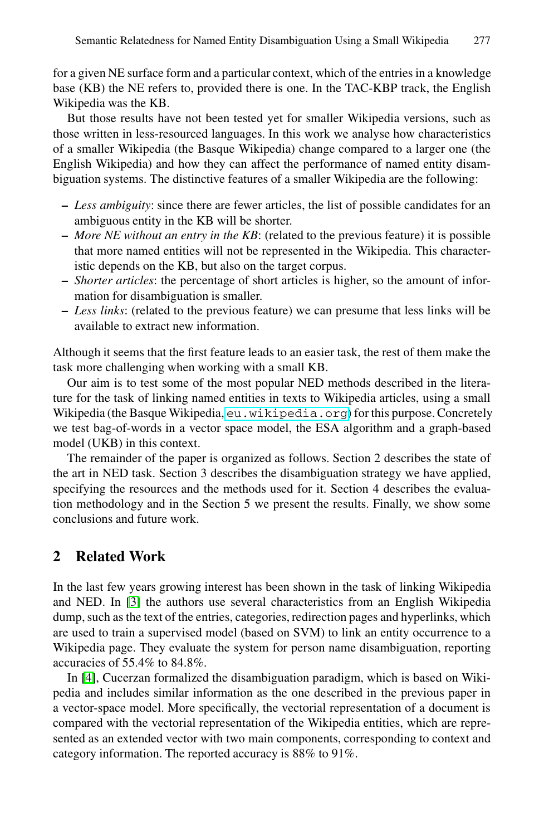for a given NE surface form and a particular context, which of the entries in a knowledge base (KB) the NE refers to, provided there is one. In the TAC-KBP track, the English Wikipedia was the KB.

But those results have not been tested yet for smaller Wikipedia versions, such as those written in less-resourced languages. In this work we analyse how characteristics of a smaller Wikipedia (the Basque Wikipedia) change compared to a larger one (the English Wikipedia) and how they can affect the performance of named entity disambiguation systems. The distinctive features of a smaller Wikipedia are the following:

- **–** *Less ambiguity*: since there are fewer articles, the list of possible candidates for an ambiguous entity in the KB will be shorter.
- **–** *More NE without an entry in the KB*: (related to the previous feature) it is possible that more named entities will not be represented in the Wikipedia. This characteristic depends on the KB, but also on the target corpus.
- **–** *Shorter articles*: the percentage of short articles is higher, so the amount of information for disambiguation is smaller.
- **–** *Less links*: (related to the previous feature) we can presume that less links will be available to extract new information.

Although it seems that the first feature leads to an easier task, the rest of them make the task more challenging when working with a small KB.

Our aim is to test some of the most popular NED methods described in the literature for the task of linking named entities in texts to Wikipedia articles, using a small Wikipedia (the Basque Wikipedia, <eu.wikipedia.org>) for this purpose. Concretely we test bag-of-words in a vector space model, the ESA algorithm and a graph-based model (UKB) in this context.

The remainder of the paper is organized as follows. Section 2 describes the state of the art in NED task. Section 3 describes the disambiguation strategy we have applied, specifying the resources and the methods used for it. Section 4 describes the evaluation methodology and in the Section 5 we present the results. Finally, we show some conclusions and future work.

#### **2 Related Work**

In the last few years growing interest has been shown in the task of linking Wikipedia and NED. In [\[3\]](#page-7-3) the authors use several characteristics from an English Wikipedia dump, such as the text of the entries, categories, redirection pages and hyperlinks, which are used to train a supervised model (based on SVM) to link an entity occurrence to a Wikipedia page. They evaluate the system for person name disambiguation, reporting accuracies of 55.4% to 84.8%.

In [\[4\]](#page-7-4), Cucerzan formalized the disambiguation paradigm, which is based on Wikipedia and includes similar information as the one described in the previous paper in a vector-space model. More specifically, the vectorial representation of a document is compared with the vectorial representation of the Wikipedia entities, which are represented as an extended vector with two main components, corresponding to context and category information. The reported accuracy is 88% to 91%.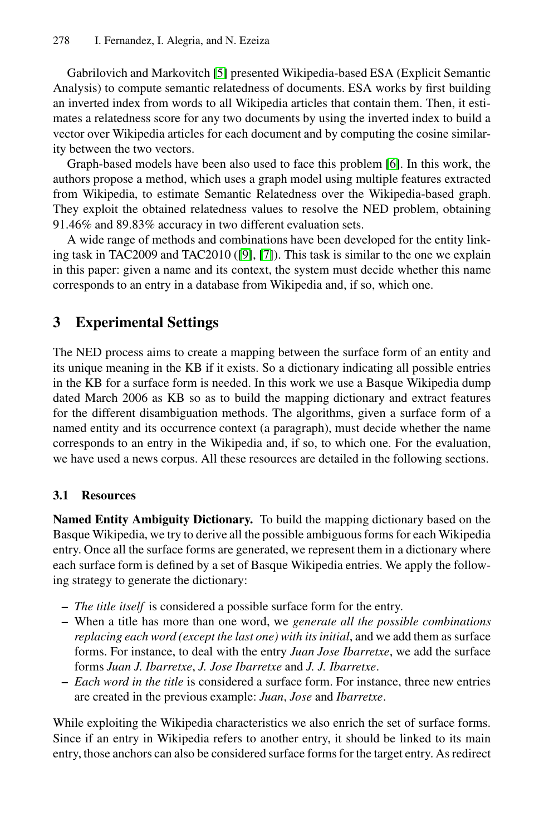Gabrilovich and Markovitch [\[5\]](#page-7-5) presented Wikipedia-based ESA (Explicit Semantic Analysis) to compute semantic relatedness of documents. ESA works by first building an inverted index from words to all Wikipedia articles that contain them. Then, it estimates a relatedness score for any two documents by using the inverted index to build a vector over Wikipedia articles for each document and by computing the cosine similarity between the two vectors.

Graph-based models have been also used to face this problem [\[6\]](#page-7-6). In this work, the authors propose a method, which uses a graph model using multiple features extracted from Wikipedia, to estimate Semantic Relatedness over the Wikipedia-based graph. They exploit the obtained relatedness values to resolve the NED problem, obtaining 91.46% and 89.83% accuracy in two different evaluation sets.

A wide range of methods and combinations have been developed for the entity linking task in TAC2009 and TAC2010 ([\[9\]](#page-7-0), [\[7\]](#page-7-1)). This task is similar to the one we explain in this paper: given a name and its context, the system must decide whether this name corresponds to an entry in a database from Wikipedia and, if so, which one.

# **3 Experimental Settings**

The NED process aims to create a mapping between the surface form of an entity and its unique meaning in the KB if it exists. So a dictionary indicating all possible entries in the KB for a surface form is needed. In this work we use a Basque Wikipedia dump dated March 2006 as KB so as to build the mapping dictionary and extract features for the different disambiguation methods. The algorithms, given a surface form of a named entity and its occurrence context (a paragraph), must decide whether the name corresponds to an entry in the Wikipedia and, if so, to which one. For the evaluation, we have used a news corpus. All these resources are detailed in the following sections.

#### <span id="page-2-0"></span>**3.1 Resources**

**Named Entity Ambiguity Dictionary.** To build the mapping dictionary based on the Basque Wikipedia, we try to derive all the possible ambiguous forms for each Wikipedia entry. Once all the surface forms are generated, we represent them in a dictionary where each surface form is defined by a set of Basque Wikipedia entries. We apply the following strategy to generate the dictionary:

- **–** *The title itself* is considered a possible surface form for the entry.
- **–** When a title has more than one word, we *generate all the possible combinations replacing each word (except the last one) with its initial*, and we add them as surface forms. For instance, to deal with the entry *Juan Jose Ibarretxe*, we add the surface forms *Juan J. Ibarretxe*, *J. Jose Ibarretxe* and *J. J. Ibarretxe*.
- **–** *Each word in the title* is considered a surface form. For instance, three new entries are created in the previous example: *Juan*, *Jose* and *Ibarretxe*.

While exploiting the Wikipedia characteristics we also enrich the set of surface forms. Since if an entry in Wikipedia refers to another entry, it should be linked to its main entry, those anchors can also be considered surface forms for the target entry. As redirect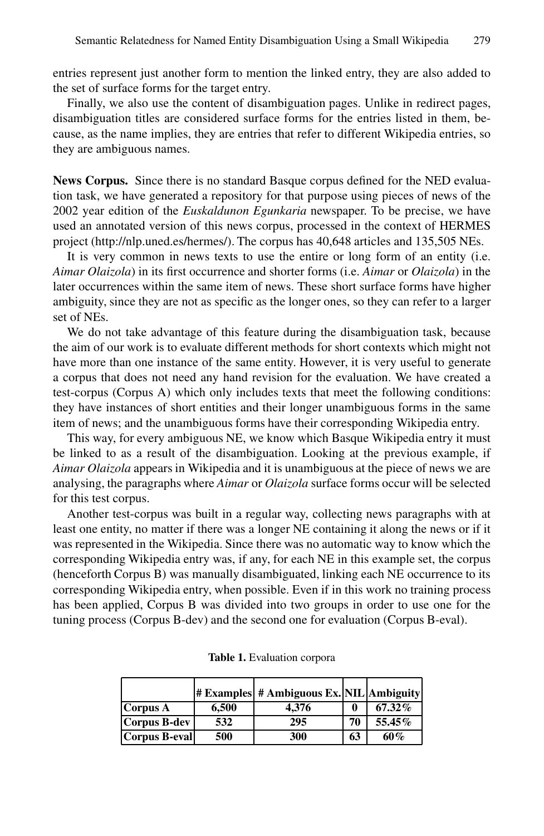entries represent just another form to mention the linked entry, they are also added to the set of surface forms for the target entry.

Finally, we also use the content of disambiguation pages. Unlike in redirect pages, disambiguation titles are considered surface forms for the entries listed in them, because, as the name implies, they are entries that refer to different Wikipedia entries, so they are ambiguous names.

**News Corpus.** Since there is no standard Basque corpus defined for the NED evaluation task, we have generated a repository for that purpose using pieces of news of the 2002 year edition of the *Euskaldunon Egunkaria* newspaper. To be precise, we have used an annotated version of this news corpus, processed in the context of HERMES project (http://nlp.uned.es/hermes/). The corpus has 40,648 articles and 135,505 NEs.

It is very common in news texts to use the entire or long form of an entity (i.e. *Aimar Olaizola*) in its first occurrence and shorter forms (i.e. *Aimar* or *Olaizola*) in the later occurrences within the same item of news. These short surface forms have higher ambiguity, since they are not as specific as the longer ones, so they can refer to a larger set of NEs.

We do not take advantage of this feature during the disambiguation task, because the aim of our work is to evaluate different methods for short contexts which might not have more than one instance of the same entity. However, it is very useful to generate a corpus that does not need any hand revision for the evaluation. We have created a test-corpus (Corpus A) which only includes texts that meet the following conditions: they have instances of short entities and their longer unambiguous forms in the same item of news; and the unambiguous forms have their corresponding Wikipedia entry.

This way, for every ambiguous NE, we know which Basque Wikipedia entry it must be linked to as a result of the disambiguation. Looking at the previous example, if *Aimar Olaizola* appears in Wikipedia and it is unambiguous at the piece of news we are analysing, the paragraphs where *Aimar* or *Olaizola* surface forms occur will be selected for this test corpus.

Another test-corpus was built in a regular way, collecting news paragraphs with at least one entity, no matter if there was a longer NE containing it along the news or if it was represented in the Wikipedia. Since there was no automatic way to know which the corresponding Wikipedia entry was, if any, for each NE in this example set, the corpus (henceforth Corpus B) was manually disambiguated, linking each NE occurrence to its corresponding Wikipedia entry, when possible. Even if in this work no training process has been applied, Corpus B was divided into two groups in order to use one for the tuning process (Corpus B-dev) and the second one for evaluation (Corpus B-eval).

|               |       | # Examples # Ambiguous Ex. NIL Ambiguity |    |           |
|---------------|-------|------------------------------------------|----|-----------|
| Corpus A      | 6.500 | 4.376                                    |    | $67.32\%$ |
| Corpus B-dev  | 532   | 295                                      | 70 | 55.45%    |
| Corpus B-eval | 500   | 300                                      | 63 | 60%       |

<span id="page-3-0"></span>**Table 1.** Evaluation corpora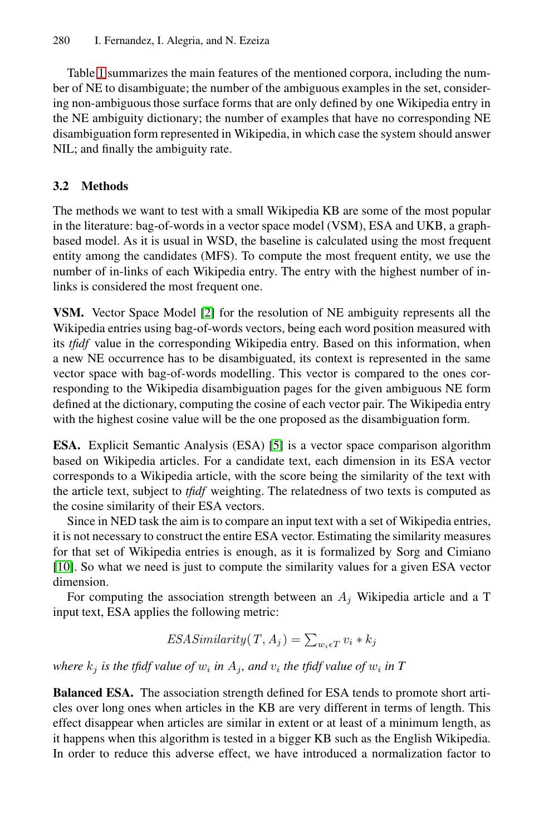Table [1](#page-3-0) summarizes the main features of the mentioned corpora, including the number of NE to disambiguate; the number of the ambiguous examples in the set, considering non-ambiguous those surface forms that are only defined by one Wikipedia entry in the NE ambiguity dictionary; the number of examples that have no corresponding NE disambiguation form represented in Wikipedia, in which case the system should answer NIL; and finally the ambiguity rate.

#### **3.2 Methods**

The methods we want to test with a small Wikipedia KB are some of the most popular in the literature: bag-of-words in a vector space model (VSM), ESA and UKB, a graphbased model. As it is usual in WSD, the baseline is calculated using the most frequent entity among the candidates (MFS). To compute the most frequent entity, we use the number of in-links of each Wikipedia entry. The entry with the highest number of inlinks is considered the most frequent one.

**VSM.** Vector Space Model [\[2\]](#page-7-7) for the resolution of NE ambiguity represents all the Wikipedia entries using bag-of-words vectors, being each word position measured with its *tfidf* value in the corresponding Wikipedia entry. Based on this information, when a new NE occurrence has to be disambiguated, its context is represented in the same vector space with bag-of-words modelling. This vector is compared to the ones corresponding to the Wikipedia disambiguation pages for the given ambiguous NE form defined at the dictionary, computing the cosine of each vector pair. The Wikipedia entry with the highest cosine value will be the one proposed as the disambiguation form.

**ESA.** Explicit Semantic Analysis (ESA) [\[5\]](#page-7-5) is a vector space comparison algorithm based on Wikipedia articles. For a candidate text, each dimension in its ESA vector corresponds to a Wikipedia article, with the score being the similarity of the text with the article text, subject to *tfidf* weighting. The relatedness of two texts is computed as the cosine similarity of their ESA vectors.

Since in NED task the aim is to compare an input text with a set of Wikipedia entries, it is not necessary to construct the entire ESA vector. Estimating the similarity measures for that set of Wikipedia entries is enough, as it is formalized by Sorg and Cimiano [\[10\]](#page-7-8). So what we need is just to compute the similarity values for a given ESA vector dimension.

For computing the association strength between an  $A_j$  Wikipedia article and a T input text, ESA applies the following metric:

$$
ESASimilarity(T, A_j) = \sum_{w_i \in T} v_i * k_j
$$

*where*  $k_i$  *is the tfidf value of*  $w_i$  *in*  $A_i$ *, and*  $v_i$  *the tfidf value of*  $w_i$  *in*  $T$ 

**Balanced ESA.** The association strength defined for ESA tends to promote short articles over long ones when articles in the KB are very different in terms of length. This effect disappear when articles are similar in extent or at least of a minimum length, as it happens when this algorithm is tested in a bigger KB such as the English Wikipedia. In order to reduce this adverse effect, we have introduced a normalization factor to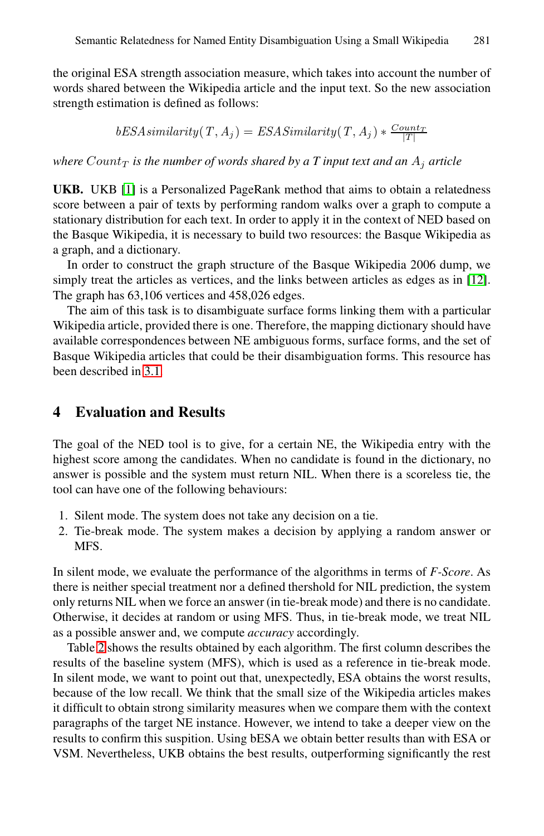the original ESA strength association measure, which takes into account the number of words shared between the Wikipedia article and the input text. So the new association strength estimation is defined as follows:

$$
bESAsimilarity(T, A_j) = ESASimilarity(T, A_j) * \frac{Count_T}{|T|}
$$

*where*  $Count_T$  *is the number of words shared by a T input text and an*  $A_i$  *article* 

**UKB.** UKB [\[1\]](#page-7-9) is a Personalized PageRank method that aims to obtain a relatedness score between a pair of texts by performing random walks over a graph to compute a stationary distribution for each text. In order to apply it in the context of NED based on the Basque Wikipedia, it is necessary to build two resources: the Basque Wikipedia as a graph, and a dictionary.

In order to construct the graph structure of the Basque Wikipedia 2006 dump, we simply treat the articles as vertices, and the links between articles as edges as in [\[12\]](#page-7-10). The graph has 63,106 vertices and 458,026 edges.

The aim of this task is to disambiguate surface forms linking them with a particular Wikipedia article, provided there is one. Therefore, the mapping dictionary should have available correspondences between NE ambiguous forms, surface forms, and the set of Basque Wikipedia articles that could be their disambiguation forms. This resource has been described in [3.1.](#page-2-0)

#### **4 Evaluation and Results**

The goal of the NED tool is to give, for a certain NE, the Wikipedia entry with the highest score among the candidates. When no candidate is found in the dictionary, no answer is possible and the system must return NIL. When there is a scoreless tie, the tool can have one of the following behaviours:

- 1. Silent mode. The system does not take any decision on a tie.
- 2. Tie-break mode. The system makes a decision by applying a random answer or MFS.

In silent mode, we evaluate the performance of the algorithms in terms of *F-Score*. As there is neither special treatment nor a defined thershold for NIL prediction, the system only returns NIL when we force an answer (in tie-break mode) and there is no candidate. Otherwise, it decides at random or using MFS. Thus, in tie-break mode, we treat NIL as a possible answer and, we compute *accuracy* accordingly.

Table [2](#page-6-0) shows the results obtained by each algorithm. The first column describes the results of the baseline system (MFS), which is used as a reference in tie-break mode. In silent mode, we want to point out that, unexpectedly, ESA obtains the worst results, because of the low recall. We think that the small size of the Wikipedia articles makes it difficult to obtain strong similarity measures when we compare them with the context paragraphs of the target NE instance. However, we intend to take a deeper view on the results to confirm this suspition. Using bESA we obtain better results than with ESA or VSM. Nevertheless, UKB obtains the best results, outperforming significantly the rest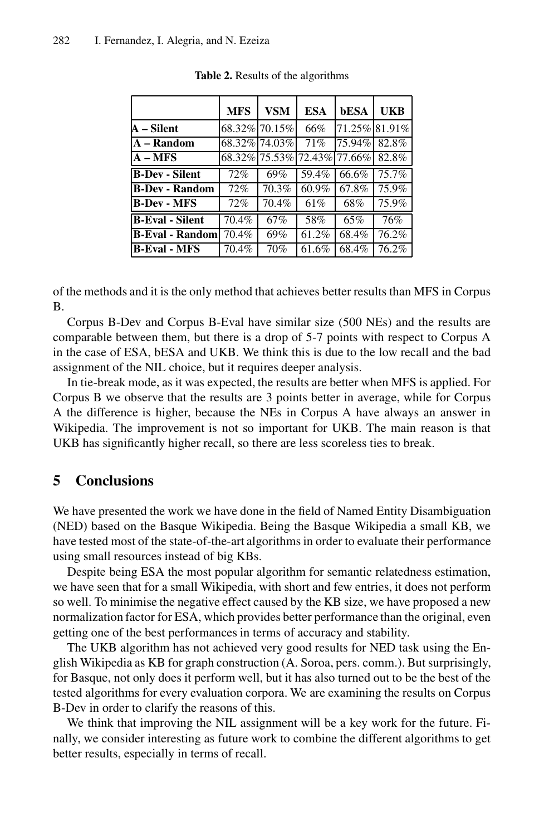|                        | <b>MFS</b> | <b>VSM</b>           | <b>ESA</b> | <b>bESA</b> | UKB    |
|------------------------|------------|----------------------|------------|-------------|--------|
| A – Silent             |            | 68.32% 70.15%        | 66%        | 71.25%      | 81.91% |
| $A - Random$           | 68.32%     | 74.03%               | 71%        | 75.94%      | 82.8%  |
| $A - MFS$              |            | 68.32% 75.53% 72.43% |            | 77.66%      | 82.8%  |
| <b>B-Dev - Silent</b>  | 72%        | 69%                  | 59.4%      | 66.6%       | 75.7%  |
| <b>B-Dev - Random</b>  | 72%        | 70.3%                | $60.9\%$   | 67.8%       | 75.9%  |
| <b>B-Dev - MFS</b>     | 72%        | 70.4%                | 61%        | 68%         | 75.9%  |
| <b>B-Eval - Silent</b> | 70.4%      | 67%                  | 58%        | 65%         | 76%    |
| <b>B-Eval - Random</b> | 70.4%      | 69%                  | 61.2%      | 68.4%       | 76.2%  |
| <b>B-Eval - MFS</b>    | 70.4%      | 70%                  | 61.6%      | 68.4%       | 76.2%  |

<span id="page-6-0"></span>**Table 2.** Results of the algorithms

of the methods and it is the only method that achieves better results than MFS in Corpus B.

Corpus B-Dev and Corpus B-Eval have similar size (500 NEs) and the results are comparable between them, but there is a drop of 5-7 points with respect to Corpus A in the case of ESA, bESA and UKB. We think this is due to the low recall and the bad assignment of the NIL choice, but it requires deeper analysis.

In tie-break mode, as it was expected, the results are better when MFS is applied. For Corpus B we observe that the results are 3 points better in average, while for Corpus A the difference is higher, because the NEs in Corpus A have always an answer in Wikipedia. The improvement is not so important for UKB. The main reason is that UKB has significantly higher recall, so there are less scoreless ties to break.

#### **5 Conclusions**

We have presented the work we have done in the field of Named Entity Disambiguation (NED) based on the Basque Wikipedia. Being the Basque Wikipedia a small KB, we have tested most of the state-of-the-art algorithms in order to evaluate their performance using small resources instead of big KBs.

Despite being ESA the most popular algorithm for semantic relatedness estimation, we have seen that for a small Wikipedia, with short and few entries, it does not perform so well. To minimise the negative effect caused by the KB size, we have proposed a new normalization factor for ESA, which provides better performance than the original, even getting one of the best performances in terms of accuracy and stability.

The UKB algorithm has not achieved very good results for NED task using the English Wikipedia as KB for graph construction (A. Soroa, pers. comm.). But surprisingly, for Basque, not only does it perform well, but it has also turned out to be the best of the tested algorithms for every evaluation corpora. We are examining the results on Corpus B-Dev in order to clarify the reasons of this.

We think that improving the NIL assignment will be a key work for the future. Finally, we consider interesting as future work to combine the different algorithms to get better results, especially in terms of recall.